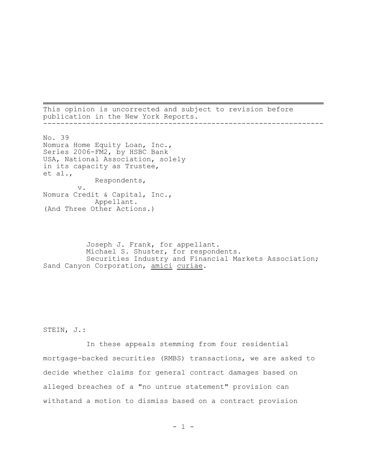This opinion is uncorrected and subject to revision before publication in the New York Reports. -----------------------------------------------------------------

No. 39 Nomura Home Equity Loan, Inc., Series 2006-FM2, by HSBC Bank USA, National Association, solely in its capacity as Trustee, et al., Respondents, v. Nomura Credit & Capital, Inc., Appellant. (And Three Other Actions.)

Joseph J. Frank, for appellant. Michael S. Shuster, for respondents. Securities Industry and Financial Markets Association; Sand Canyon Corporation, amici curiae.

STEIN, J.:

In these appeals stemming from four residential mortgage-backed securities (RMBS) transactions, we are asked to decide whether claims for general contract damages based on alleged breaches of a "no untrue statement" provision can withstand a motion to dismiss based on a contract provision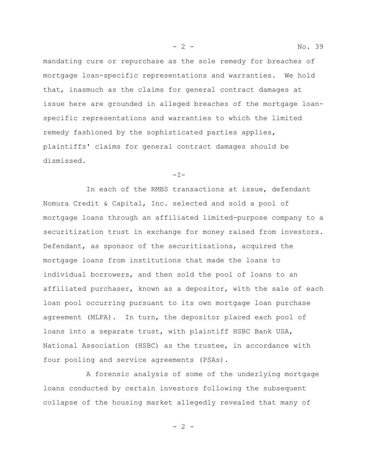mandating cure or repurchase as the sole remedy for breaches of mortgage loan-specific representations and warranties. We hold that, inasmuch as the claims for general contract damages at issue here are grounded in alleged breaches of the mortgage loanspecific representations and warranties to which the limited remedy fashioned by the sophisticated parties applies, plaintiffs' claims for general contract damages should be dismissed.

 $-I-$ 

In each of the RMBS transactions at issue, defendant Nomura Credit & Capital, Inc. selected and sold a pool of mortgage loans through an affiliated limited-purpose company to a securitization trust in exchange for money raised from investors. Defendant, as sponsor of the securitizations, acquired the mortgage loans from institutions that made the loans to individual borrowers, and then sold the pool of loans to an affiliated purchaser, known as a depositor, with the sale of each loan pool occurring pursuant to its own mortgage loan purchase agreement (MLPA). In turn, the depositor placed each pool of loans into a separate trust, with plaintiff HSBC Bank USA, National Association (HSBC) as the trustee, in accordance with four pooling and service agreements (PSAs).

A forensic analysis of some of the underlying mortgage loans conducted by certain investors following the subsequent collapse of the housing market allegedly revealed that many of

 $- 2 -$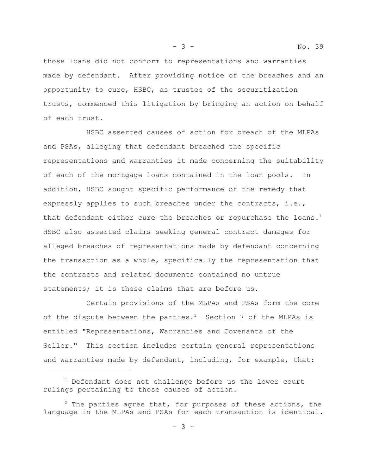those loans did not conform to representations and warranties made by defendant. After providing notice of the breaches and an opportunity to cure, HSBC, as trustee of the securitization trusts, commenced this litigation by bringing an action on behalf of each trust.

HSBC asserted causes of action for breach of the MLPAs and PSAs, alleging that defendant breached the specific representations and warranties it made concerning the suitability of each of the mortgage loans contained in the loan pools. In addition, HSBC sought specific performance of the remedy that expressly applies to such breaches under the contracts, i.e., that defendant either cure the breaches or repurchase the loans.<sup>1</sup> HSBC also asserted claims seeking general contract damages for alleged breaches of representations made by defendant concerning the transaction as a whole, specifically the representation that the contracts and related documents contained no untrue statements; it is these claims that are before us.

Certain provisions of the MLPAs and PSAs form the core of the dispute between the parties.<sup>2</sup> Section 7 of the MLPAs is entitled "Representations, Warranties and Covenants of the Seller." This section includes certain general representations and warranties made by defendant, including, for example, that:

 $1$  Defendant does not challenge before us the lower court rulings pertaining to those causes of action.

 $2$  The parties agree that, for purposes of these actions, the language in the MLPAs and PSAs for each transaction is identical.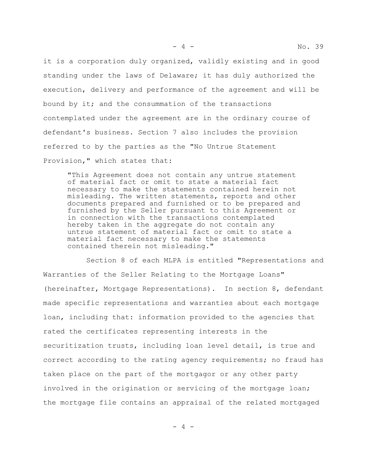it is a corporation duly organized, validly existing and in good standing under the laws of Delaware; it has duly authorized the execution, delivery and performance of the agreement and will be bound by it; and the consummation of the transactions contemplated under the agreement are in the ordinary course of defendant's business. Section 7 also includes the provision referred to by the parties as the "No Untrue Statement Provision," which states that:

"This Agreement does not contain any untrue statement of material fact or omit to state a material fact necessary to make the statements contained herein not misleading. The written statements, reports and other documents prepared and furnished or to be prepared and furnished by the Seller pursuant to this Agreement or in connection with the transactions contemplated hereby taken in the aggregate do not contain any untrue statement of material fact or omit to state a material fact necessary to make the statements contained therein not misleading."

Section 8 of each MLPA is entitled "Representations and Warranties of the Seller Relating to the Mortgage Loans" (hereinafter, Mortgage Representations). In section 8, defendant made specific representations and warranties about each mortgage loan, including that: information provided to the agencies that rated the certificates representing interests in the securitization trusts, including loan level detail, is true and correct according to the rating agency requirements; no fraud has taken place on the part of the mortgagor or any other party involved in the origination or servicing of the mortgage loan; the mortgage file contains an appraisal of the related mortgaged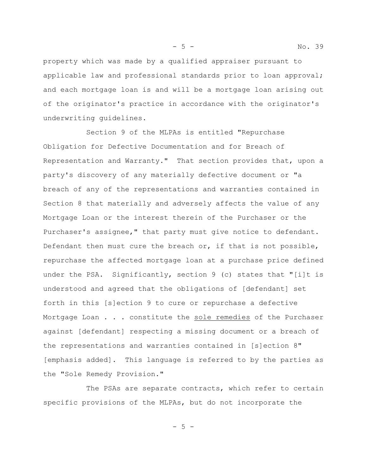property which was made by a qualified appraiser pursuant to applicable law and professional standards prior to loan approval; and each mortgage loan is and will be a mortgage loan arising out of the originator's practice in accordance with the originator's underwriting guidelines.

Section 9 of the MLPAs is entitled "Repurchase Obligation for Defective Documentation and for Breach of Representation and Warranty." That section provides that, upon a party's discovery of any materially defective document or "a breach of any of the representations and warranties contained in Section 8 that materially and adversely affects the value of any Mortgage Loan or the interest therein of the Purchaser or the Purchaser's assignee," that party must give notice to defendant. Defendant then must cure the breach or, if that is not possible, repurchase the affected mortgage loan at a purchase price defined under the PSA. Significantly, section 9 (c) states that "[i]t is understood and agreed that the obligations of [defendant] set forth in this [s]ection 9 to cure or repurchase a defective Mortgage Loan . . . constitute the sole remedies of the Purchaser against [defendant] respecting a missing document or a breach of the representations and warranties contained in [s]ection 8" [emphasis added]. This language is referred to by the parties as the "Sole Remedy Provision."

The PSAs are separate contracts, which refer to certain specific provisions of the MLPAs, but do not incorporate the

- 5 -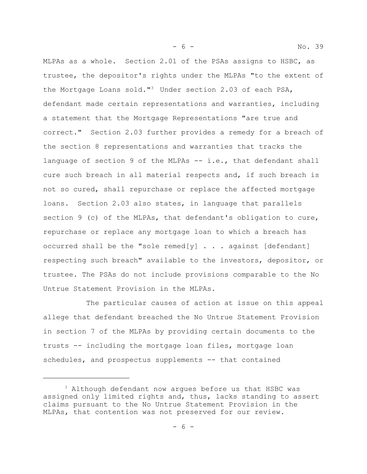MLPAs as a whole. Section 2.01 of the PSAs assigns to HSBC, as trustee, the depositor's rights under the MLPAs "to the extent of the Mortgage Loans sold."<sup>3</sup> Under section 2.03 of each PSA, defendant made certain representations and warranties, including a statement that the Mortgage Representations "are true and correct." Section 2.03 further provides a remedy for a breach of the section 8 representations and warranties that tracks the language of section 9 of the MLPAs -- i.e., that defendant shall cure such breach in all material respects and, if such breach is not so cured, shall repurchase or replace the affected mortgage loans.Section 2.03 also states, in language that parallels section 9 (c) of the MLPAs, that defendant's obligation to cure, repurchase or replace any mortgage loan to which a breach has occurred shall be the "sole remed[y]  $\ldots$  against [defendant] respecting such breach" available to the investors, depositor, or trustee. The PSAs do not include provisions comparable to the No Untrue Statement Provision in the MLPAs.

- 6 - No. 39

The particular causes of action at issue on this appeal allege that defendant breached the No Untrue Statement Provision in section 7 of the MLPAs by providing certain documents to the trusts -- including the mortgage loan files, mortgage loan schedules, and prospectus supplements -- that contained

<sup>&</sup>lt;sup>3</sup> Although defendant now arques before us that HSBC was assigned only limited rights and, thus, lacks standing to assert claims pursuant to the No Untrue Statement Provision in the MLPAs, that contention was not preserved for our review.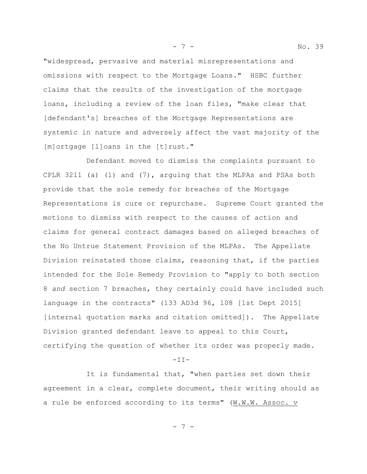"widespread, pervasive and material misrepresentations and omissions with respect to the Mortgage Loans." HSBC further claims that the results of the investigation of the mortgage loans, including a review of the loan files, "make clear that [defendant's] breaches of the Mortgage Representations are systemic in nature and adversely affect the vast majority of the [m]ortgage [l]oans in the [t]rust."

Defendant moved to dismiss the complaints pursuant to CPLR 3211 (a) (1) and (7), arguing that the MLPAs and PSAs both provide that the sole remedy for breaches of the Mortgage Representations is cure or repurchase. Supreme Court granted the motions to dismiss with respect to the causes of action and claims for general contract damages based on alleged breaches of the No Untrue Statement Provision of the MLPAs. The Appellate Division reinstated those claims, reasoning that, if the parties intended for the Sole Remedy Provision to "apply to both section 8 *and* section 7 breaches, they certainly could have included such language in the contracts" (133 AD3d 96, 108 [1st Dept 2015] [internal quotation marks and citation omitted]). The Appellate Division granted defendant leave to appeal to this Court, certifying the question of whether its order was properly made.

 $-TI-$ 

It is fundamental that, "when parties set down their agreement in a clear, complete document, their writing should as a rule be enforced according to its terms" (W.W.W. Assoc. v

- 7 -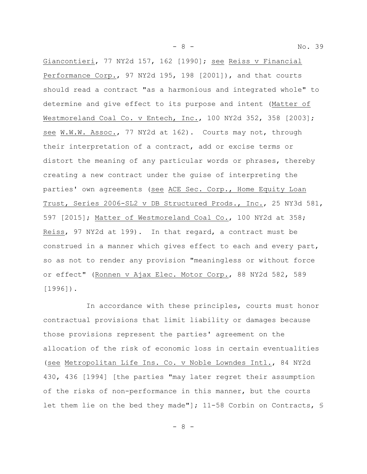- 8 - No. 39

Giancontieri, 77 NY2d 157, 162 [1990]; see Reiss v Financial Performance Corp., 97 NY2d 195, 198 [2001]), and that courts should read a contract "as a harmonious and integrated whole" to determine and give effect to its purpose and intent (Matter of Westmoreland Coal Co. v Entech, Inc., 100 NY2d 352, 358 [2003]; see W.W.W. Assoc., 77 NY2d at 162). Courts may not, through their interpretation of a contract, add or excise terms or distort the meaning of any particular words or phrases, thereby creating a new contract under the guise of interpreting the parties' own agreements (see ACE Sec. Corp., Home Equity Loan Trust, Series 2006-SL2 v DB Structured Prods., Inc., 25 NY3d 581, 597 [2015]; Matter of Westmoreland Coal Co., 100 NY2d at 358; Reiss, 97 NY2d at 199). In that regard, a contract must be construed in a manner which gives effect to each and every part, so as not to render any provision "meaningless or without force or effect" (Ronnen v Ajax Elec. Motor Corp., 88 NY2d 582, 589 [1996]).

In accordance with these principles, courts must honor contractual provisions that limit liability or damages because those provisions represent the parties' agreement on the allocation of the risk of economic loss in certain eventualities (see Metropolitan Life Ins. Co. v Noble Lowndes Intl., 84 NY2d 430, 436 [1994] [the parties "may later regret their assumption of the risks of non-performance in this manner, but the courts let them lie on the bed they made"]; 11-58 Corbin on Contracts, §

- 8 -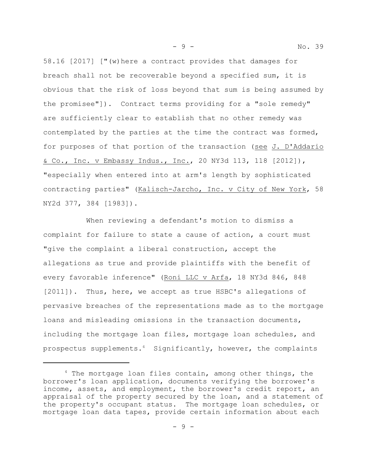58.16 [2017] ["(w)here a contract provides that damages for breach shall not be recoverable beyond a specified sum, it is obvious that the risk of loss beyond that sum is being assumed by the promisee"]). Contract terms providing for a "sole remedy" are sufficiently clear to establish that no other remedy was contemplated by the parties at the time the contract was formed, for purposes of that portion of the transaction (see J. D'Addario & Co., Inc. v Embassy Indus., Inc., 20 NY3d 113, 118 [2012]), "especially when entered into at arm's length by sophisticated contracting parties" (Kalisch-Jarcho, Inc. v City of New York, 58 NY2d 377, 384 [1983]).

When reviewing a defendant's motion to dismiss a complaint for failure to state a cause of action, a court must "give the complaint a liberal construction, accept the allegations as true and provide plaintiffs with the benefit of every favorable inference" (Roni LLC v Arfa, 18 NY3d 846, 848 [2011]). Thus, here, we accept as true HSBC's allegations of pervasive breaches of the representations made as to the mortgage loans and misleading omissions in the transaction documents, including the mortgage loan files, mortgage loan schedules, and prospectus supplements.<sup>4</sup> Significantly, however, the complaints

- 9 - No. 39

 $4$  The mortgage loan files contain, among other things, the borrower's loan application, documents verifying the borrower's income, assets, and employment, the borrower's credit report, an appraisal of the property secured by the loan, and a statement of the property's occupant status. The mortgage loan schedules, or mortgage loan data tapes, provide certain information about each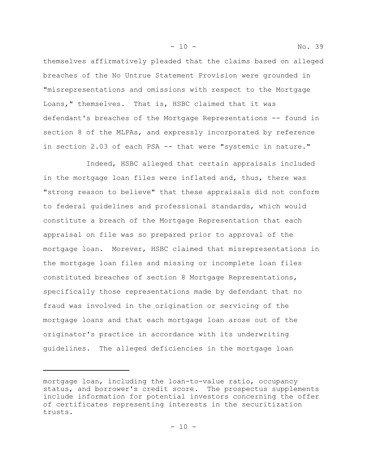themselves affirmatively pleaded that the claims based on alleged breaches of the No Untrue Statement Provision were grounded in "misrepresentations and omissions with respect to the Mortgage Loans," themselves. That is, HSBC claimed that it was defendant's breaches of the Mortgage Representations -- found in section 8 of the MLPAs, and expressly incorporated by reference in section 2.03 of each PSA -- that were "systemic in nature."

- 10 - No. 39

Indeed, HSBC alleged that certain appraisals included in the mortgage loan files were inflated and, thus, there was "strong reason to believe" that these appraisals did not conform to federal guidelines and professional standards, which would constitute a breach of the Mortgage Representation that each appraisal on file was so prepared prior to approval of the mortgage loan. Morever, HSBC claimed that misrepresentations in the mortgage loan files and missing or incomplete loan files constituted breaches of section 8 Mortgage Representations, specifically those representations made by defendant that no fraud was involved in the origination or servicing of the mortgage loans and that each mortgage loan arose out of the originator's practice in accordance with its underwriting guidelines. The alleged deficiencies in the mortgage loan

mortgage loan, including the loan-to-value ratio, occupancy status, and borrower's credit score. The prospectus supplements include information for potential investors concerning the offer of certificates representing interests in the securitization trusts.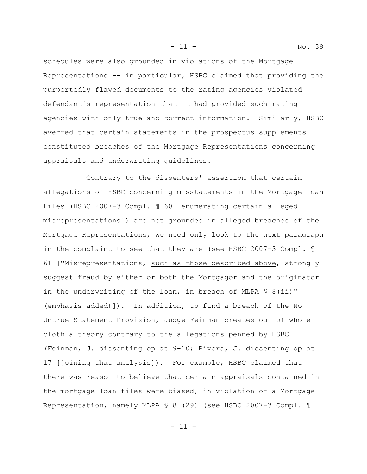schedules were also grounded in violations of the Mortgage Representations -- in particular, HSBC claimed that providing the purportedly flawed documents to the rating agencies violated defendant's representation that it had provided such rating agencies with only true and correct information. Similarly, HSBC averred that certain statements in the prospectus supplements constituted breaches of the Mortgage Representations concerning appraisals and underwriting guidelines.

Contrary to the dissenters' assertion that certain allegations of HSBC concerning misstatements in the Mortgage Loan Files (HSBC 2007-3 Compl. ¶ 60 [enumerating certain alleged misrepresentations]) are not grounded in alleged breaches of the Mortgage Representations, we need only look to the next paragraph in the complaint to see that they are (see HSBC 2007-3 Compl. 1 61 ["Misrepresentations, such as those described above, strongly suggest fraud by either or both the Mortgagor and the originator in the underwriting of the loan, in breach of MLPA  $\frac{1}{5}$  8(ii)" (emphasis added)]). In addition, to find a breach of the No Untrue Statement Provision, Judge Feinman creates out of whole cloth a theory contrary to the allegations penned by HSBC (Feinman, J. dissenting op at 9-10; Rivera, J. dissenting op at 17 [joining that analysis]). For example, HSBC claimed that there was reason to believe that certain appraisals contained in the mortgage loan files were biased, in violation of a Mortgage Representation, namely MLPA § 8 (29) (see HSBC 2007-3 Compl. ¶

- 11 - No. 39

 $-11 -$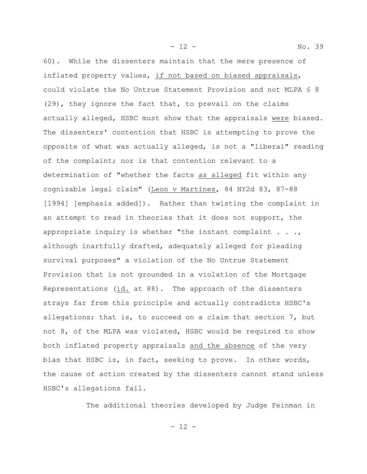60). While the dissenters maintain that the mere presence of inflated property values, if not based on biased appraisals, could violate the No Untrue Statement Provision and not MLPA § 8 (29), they ignore the fact that, to prevail on the claims actually alleged, HSBC must show that the appraisals were biased. The dissenters' contention that HSBC is attempting to prove the opposite of what was actually alleged, is not a "liberal" reading of the complaint; nor is that contention relevant to a determination of "whether the facts as alleged fit within any cognizable legal claim" (Leon v Martinez, 84 NY2d 83, 87-88 [1994] [emphasis added]). Rather than twisting the complaint in an attempt to read in theories that it does not support, the appropriate inquiry is whether "the instant complaint  $\ldots$ , although inartfully drafted, adequately alleged for pleading survival purposes" a violation of the No Untrue Statement Provision that is not grounded in a violation of the Mortgage Representations (id. at 88). The approach of the dissenters strays far from this principle and actually contradicts HSBC's allegations; that is, to succeed on a claim that section 7, but not 8, of the MLPA was violated, HSBC would be required to show both inflated property appraisals and the absence of the very bias that HSBC is, in fact, seeking to prove. In other words,

the cause of action created by the dissenters cannot stand unless HSBC's allegations fail.

The additional theories developed by Judge Feinman in

- 12 -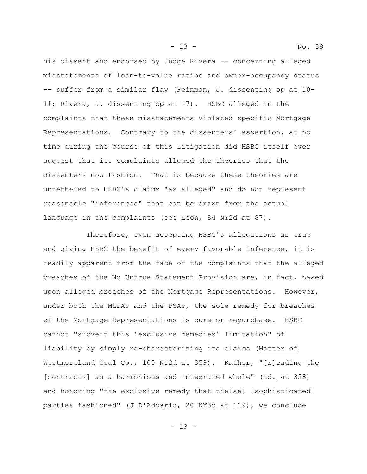his dissent and endorsed by Judge Rivera -- concerning alleged misstatements of loan-to-value ratios and owner-occupancy status -- suffer from a similar flaw (Feinman, J. dissenting op at 10- 11; Rivera, J. dissenting op at 17). HSBC alleged in the complaints that these misstatements violated specific Mortgage Representations. Contrary to the dissenters' assertion, at no time during the course of this litigation did HSBC itself ever suggest that its complaints alleged the theories that the dissenters now fashion. That is because these theories are untethered to HSBC's claims "as alleged" and do not represent reasonable "inferences" that can be drawn from the actual language in the complaints (see Leon, 84 NY2d at 87).

Therefore, even accepting HSBC's allegations as true and giving HSBC the benefit of every favorable inference, it is readily apparent from the face of the complaints that the alleged breaches of the No Untrue Statement Provision are, in fact, based upon alleged breaches of the Mortgage Representations. However, under both the MLPAs and the PSAs, the sole remedy for breaches of the Mortgage Representations is cure or repurchase. HSBC cannot "subvert this 'exclusive remedies' limitation" of liability by simply re-characterizing its claims (Matter of Westmoreland Coal Co., 100 NY2d at 359). Rather, "[r]eading the [contracts] as a harmonious and integrated whole" (id. at 358) and honoring "the exclusive remedy that the[se] [sophisticated] parties fashioned" (J D'Addario, 20 NY3d at 119), we conclude

- 13 - No. 39

 $- 13 -$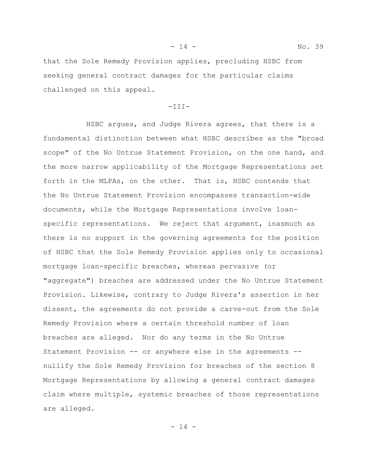that the Sole Remedy Provision applies, precluding HSBC from seeking general contract damages for the particular claims challenged on this appeal.

#### $-TIII-$

HSBC argues, and Judge Rivera agrees, that there is a fundamental distinction between what HSBC describes as the "broad scope" of the No Untrue Statement Provision, on the one hand, and the more narrow applicability of the Mortgage Representations set forth in the MLPAs, on the other. That is, HSBC contends that the No Untrue Statement Provision encompasses transaction-wide documents, while the Mortgage Representations involve loanspecific representations. We reject that argument, inasmuch as there is no support in the governing agreements for the position of HSBC that the Sole Remedy Provision applies only to occasional mortgage loan-specific breaches, whereas pervasive (or "aggregate") breaches are addressed under the No Untrue Statement Provision. Likewise, contrary to Judge Rivera's assertion in her dissent, the agreements do not provide a carve-out from the Sole Remedy Provision where a certain threshold number of loan breaches are alleged. Nor do any terms in the No Untrue Statement Provision -- or anywhere else in the agreements - nullify the Sole Remedy Provision for breaches of the section 8 Mortgage Representations by allowing a general contract damages claim where multiple, systemic breaches of those representations are alleged.

- 14 -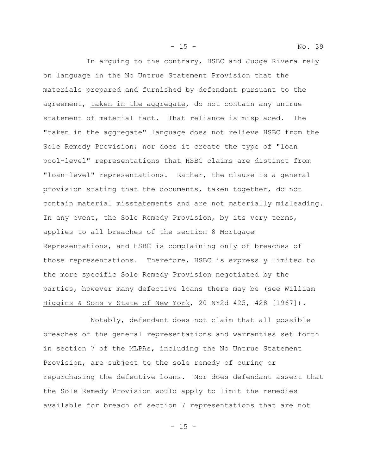In arguing to the contrary, HSBC and Judge Rivera rely on language in the No Untrue Statement Provision that the materials prepared and furnished by defendant pursuant to the agreement, taken in the aggregate, do not contain any untrue statement of material fact. That reliance is misplaced. The "taken in the aggregate" language does not relieve HSBC from the Sole Remedy Provision; nor does it create the type of "loan pool-level" representations that HSBC claims are distinct from "loan-level" representations. Rather, the clause is a general provision stating that the documents, taken together, do not contain material misstatements and are not materially misleading. In any event, the Sole Remedy Provision, by its very terms, applies to all breaches of the section 8 Mortgage Representations, and HSBC is complaining only of breaches of those representations. Therefore, HSBC is expressly limited to the more specific Sole Remedy Provision negotiated by the parties, however many defective loans there may be (see William Higgins & Sons v State of New York, 20 NY2d 425, 428 [1967]).

 Notably, defendant does not claim that all possible breaches of the general representations and warranties set forth in section 7 of the MLPAs, including the No Untrue Statement Provision, are subject to the sole remedy of curing or repurchasing the defective loans. Nor does defendant assert that the Sole Remedy Provision would apply to limit the remedies available for breach of section 7 representations that are not

- 15 - No. 39

 $- 15 -$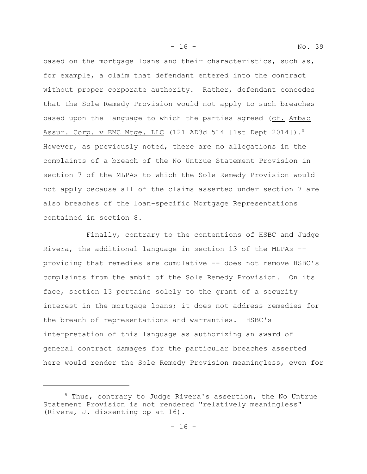based on the mortgage loans and their characteristics, such as, for example, a claim that defendant entered into the contract without proper corporate authority. Rather, defendant concedes that the Sole Remedy Provision would not apply to such breaches based upon the language to which the parties agreed (cf. Ambac Assur. Corp. v EMC Mtge. LLC (121 AD3d 514 [1st Dept 2014]).<sup>5</sup> However, as previously noted, there are no allegations in the complaints of a breach of the No Untrue Statement Provision in section 7 of the MLPAs to which the Sole Remedy Provision would not apply because all of the claims asserted under section 7 are also breaches of the loan-specific Mortgage Representations contained in section 8.

Finally, contrary to the contentions of HSBC and Judge Rivera, the additional language in section 13 of the MLPAs - providing that remedies are cumulative -- does not remove HSBC's complaints from the ambit of the Sole Remedy Provision. On its face, section 13 pertains solely to the grant of a security interest in the mortgage loans; it does not address remedies for the breach of representations and warranties. HSBC's interpretation of this language as authorizing an award of general contract damages for the particular breaches asserted here would render the Sole Remedy Provision meaningless, even for

- 16 - No. 39

<sup>5</sup> Thus, contrary to Judge Rivera's assertion, the No Untrue Statement Provision is not rendered "relatively meaningless" (Rivera, J. dissenting op at 16).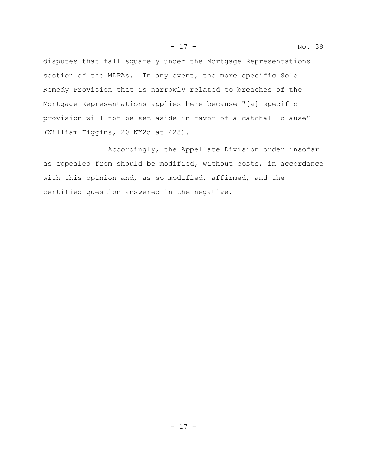disputes that fall squarely under the Mortgage Representations section of the MLPAs. In any event, the more specific Sole Remedy Provision that is narrowly related to breaches of the Mortgage Representations applies here because "[a] specific provision will not be set aside in favor of a catchall clause"

(William Higgins, 20 NY2d at 428).

Accordingly, the Appellate Division order insofar as appealed from should be modified, without costs, in accordance with this opinion and, as so modified, affirmed, and the certified question answered in the negative.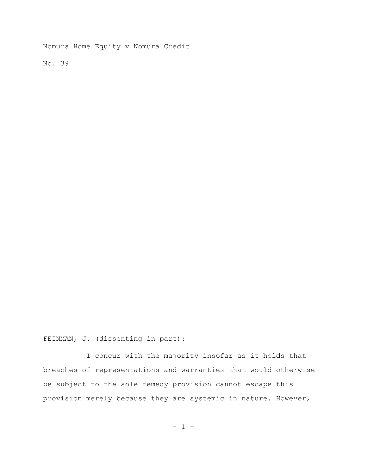Nomura Home Equity v Nomura Credit

No. 39

FEINMAN, J. (dissenting in part):

I concur with the majority insofar as it holds that breaches of representations and warranties that would otherwise be subject to the sole remedy provision cannot escape this provision merely because they are systemic in nature. However,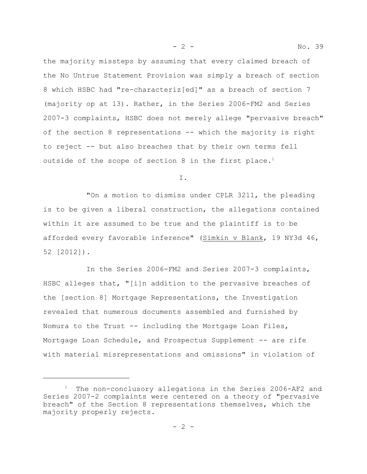the majority missteps by assuming that every claimed breach of the No Untrue Statement Provision was simply a breach of section 8 which HSBC had "re-characteriz[ed]" as a breach of section 7 (majority op at 13). Rather, in the Series 2006-FM2 and Series 2007-3 complaints, HSBC does not merely allege "pervasive breach" of the section 8 representations -- which the majority is right to reject -- but also breaches that by their own terms fell outside of the scope of section 8 in the first place.<sup>1</sup>

I.

"On a motion to dismiss under CPLR 3211, the pleading is to be given a liberal construction, the allegations contained within it are assumed to be true and the plaintiff is to be afforded every favorable inference" (Simkin v Blank, 19 NY3d 46, 52 [2012]).

In the Series 2006-FM2 and Series 2007-3 complaints, HSBC alleges that, "[i]n addition to the pervasive breaches of the [section 8] Mortgage Representations, the Investigation revealed that numerous documents assembled and furnished by Nomura to the Trust -- including the Mortgage Loan Files, Mortgage Loan Schedule, and Prospectus Supplement -- are rife with material misrepresentations and omissions" in violation of

<sup>&</sup>lt;sup>1</sup> The non-conclusory allegations in the Series 2006-AF2 and Series 2007-2 complaints were centered on a theory of "pervasive breach" of the Section 8 representations themselves, which the majority properly rejects.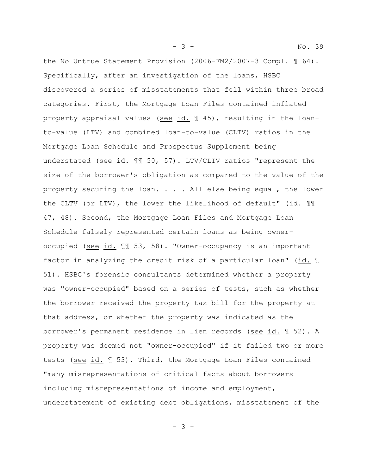the No Untrue Statement Provision (2006-FM2/2007-3 Compl. ¶ 64). Specifically, after an investigation of the loans, HSBC discovered a series of misstatements that fell within three broad categories. First, the Mortgage Loan Files contained inflated property appraisal values (see id. ¶ 45), resulting in the loanto-value (LTV) and combined loan-to-value (CLTV) ratios in the Mortgage Loan Schedule and Prospectus Supplement being understated (see id. ¶¶ 50, 57). LTV/CLTV ratios "represent the size of the borrower's obligation as compared to the value of the property securing the loan. . . . All else being equal, the lower the CLTV (or LTV), the lower the likelihood of default" (id. ¶¶ 47, 48). Second, the Mortgage Loan Files and Mortgage Loan Schedule falsely represented certain loans as being owneroccupied (see id. ¶¶ 53, 58). "Owner-occupancy is an important factor in analyzing the credit risk of a particular loan" (id. ¶ 51). HSBC's forensic consultants determined whether a property was "owner-occupied" based on a series of tests, such as whether the borrower received the property tax bill for the property at that address, or whether the property was indicated as the borrower's permanent residence in lien records (see id. ¶ 52). A property was deemed not "owner-occupied" if it failed two or more tests (see id. 1 53). Third, the Mortgage Loan Files contained "many misrepresentations of critical facts about borrowers including misrepresentations of income and employment, understatement of existing debt obligations, misstatement of the

- 3 -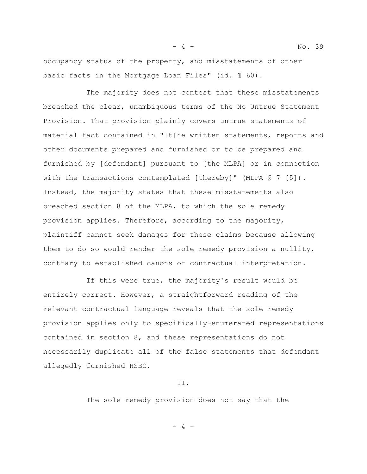occupancy status of the property, and misstatements of other basic facts in the Mortgage Loan Files" (id. ¶ 60).

The majority does not contest that these misstatements breached the clear, unambiguous terms of the No Untrue Statement Provision. That provision plainly covers untrue statements of material fact contained in "[t]he written statements, reports and other documents prepared and furnished or to be prepared and furnished by [defendant] pursuant to [the MLPA] or in connection with the transactions contemplated [thereby]" (MLPA § 7 [5]). Instead, the majority states that these misstatements also breached section 8 of the MLPA, to which the sole remedy provision applies. Therefore, according to the majority, plaintiff cannot seek damages for these claims because allowing them to do so would render the sole remedy provision a nullity, contrary to established canons of contractual interpretation.

If this were true, the majority's result would be entirely correct. However, a straightforward reading of the relevant contractual language reveals that the sole remedy provision applies only to specifically-enumerated representations contained in section 8, and these representations do not necessarily duplicate all of the false statements that defendant allegedly furnished HSBC.

II.

The sole remedy provision does not say that the

 $-4 -$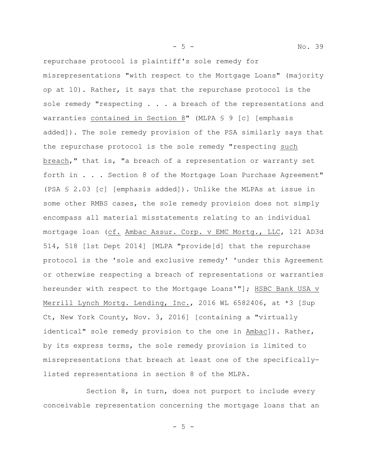repurchase protocol is plaintiff's sole remedy for misrepresentations "with respect to the Mortgage Loans" (majority op at 10). Rather, it says that the repurchase protocol is the sole remedy "respecting . . . a breach of the representations and warranties contained in Section 8" (MLPA § 9 [c] [emphasis added]). The sole remedy provision of the PSA similarly says that the repurchase protocol is the sole remedy "respecting such breach," that is, "a breach of a representation or warranty set forth in . . . Section 8 of the Mortgage Loan Purchase Agreement" (PSA § 2.03 [c] [emphasis added]). Unlike the MLPAs at issue in some other RMBS cases, the sole remedy provision does not simply encompass all material misstatements relating to an individual mortgage loan (cf. Ambac Assur. Corp. v EMC Mortg., LLC, 121 AD3d 514, 518 [1st Dept 2014] [MLPA "provide[d] that the repurchase protocol is the 'sole and exclusive remedy' 'under this Agreement or otherwise respecting a breach of representations or warranties hereunder with respect to the Mortgage Loans'"]; HSBC Bank USA v Merrill Lynch Mortg. Lending, Inc., 2016 WL 6582406, at \*3 [Sup Ct, New York County, Nov. 3, 2016] [containing a "virtually identical" sole remedy provision to the one in Ambac]). Rather, by its express terms, the sole remedy provision is limited to misrepresentations that breach at least one of the specificallylisted representations in section 8 of the MLPA.

Section 8, in turn, does not purport to include every conceivable representation concerning the mortgage loans that an

 $-5 -$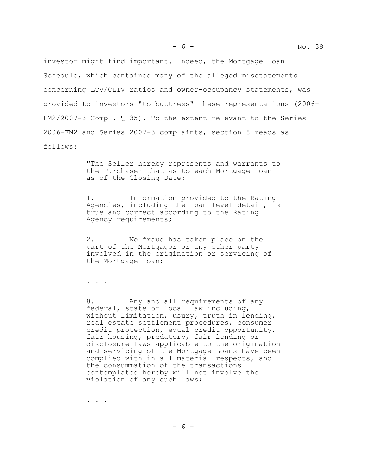investor might find important. Indeed, the Mortgage Loan Schedule, which contained many of the alleged misstatements concerning LTV/CLTV ratios and owner-occupancy statements, was provided to investors "to buttress" these representations (2006- FM2/2007-3 Compl. ¶ 35). To the extent relevant to the Series 2006-FM2 and Series 2007-3 complaints, section 8 reads as follows:

> "The Seller hereby represents and warrants to the Purchaser that as to each Mortgage Loan as of the Closing Date:

> 1. Information provided to the Rating Agencies, including the loan level detail, is true and correct according to the Rating Agency requirements;

2. No fraud has taken place on the part of the Mortgagor or any other party involved in the origination or servicing of the Mortgage Loan;

. . .

8. Any and all requirements of any federal, state or local law including, without limitation, usury, truth in lending, real estate settlement procedures, consumer credit protection, equal credit opportunity, fair housing, predatory, fair lending or disclosure laws applicable to the origination and servicing of the Mortgage Loans have been complied with in all material respects, and the consummation of the transactions contemplated hereby will not involve the violation of any such laws;

. . .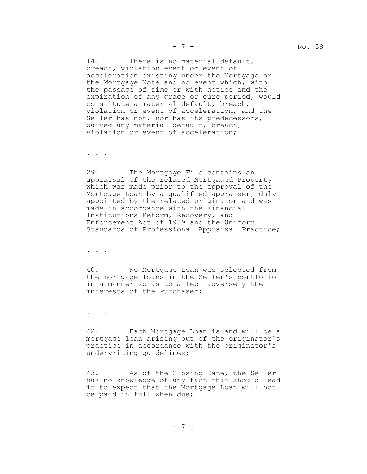14. There is no material default, breach, violation event or event of acceleration existing under the Mortgage or the Mortgage Note and no event which, with the passage of time or with notice and the expiration of any grace or cure period, would constitute a material default, breach, violation or event of acceleration, and the Seller has not, nor has its predecessors, waived any material default, breach, violation or event of acceleration;

. . .

29. The Mortgage File contains an appraisal of the related Mortgaged Property which was made prior to the approval of the Mortgage Loan by a qualified appraiser, duly appointed by the related originator and was made in accordance with the Financial Institutions Reform, Recovery, and Enforcement Act of 1989 and the Uniform Standards of Professional Appraisal Practice;

. . .

40. No Mortgage Loan was selected from the mortgage loans in the Seller's portfolio in a manner so as to affect adversely the interests of the Purchaser;

. . .

42. Each Mortgage Loan is and will be a mortgage loan arising out of the originator's practice in accordance with the originator's underwriting guidelines;

43. As of the Closing Date, the Seller has no knowledge of any fact that should lead it to expect that the Mortgage Loan will not be paid in full when due;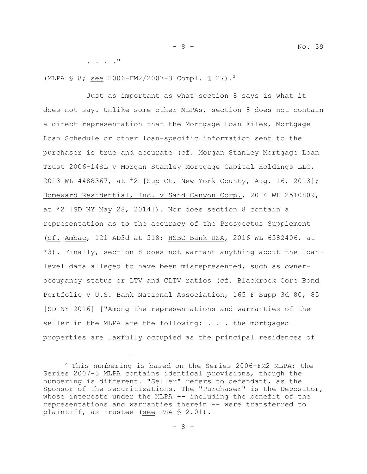. . . ."

(MLPA § 8; see 2006-FM2/2007-3 Compl. ¶ 27).<sup>2</sup>

Just as important as what section 8 says is what it does not say. Unlike some other MLPAs, section 8 does not contain a direct representation that the Mortgage Loan Files, Mortgage Loan Schedule or other loan-specific information sent to the purchaser is true and accurate (cf. Morgan Stanley Mortgage Loan Trust 2006-14SL v Morgan Stanley Mortgage Capital Holdings LLC, 2013 WL 4488367, at \*2 [Sup Ct, New York County, Aug. 16, 2013]; Homeward Residential, Inc. v Sand Canyon Corp., 2014 WL 2510809, at \*2 [SD NY May 28, 2014]). Nor does section 8 contain a representation as to the accuracy of the Prospectus Supplement (cf. Ambac, 121 AD3d at 518; HSBC Bank USA, 2016 WL 6582406, at \*3). Finally, section 8 does not warrant anything about the loanlevel data alleged to have been misrepresented, such as owneroccupancy status or LTV and CLTV ratios (cf. Blackrock Core Bond Portfolio v U.S. Bank National Association, 165 F Supp 3d 80, 85 [SD NY 2016] ["Among the representations and warranties of the seller in the MLPA are the following: . . . the mortgaged properties are lawfully occupied as the principal residences of

 $2$  This numbering is based on the Series 2006-FM2 MLPA; the Series 2007-3 MLPA contains identical provisions, though the numbering is different. "Seller" refers to defendant, as the Sponsor of the securitizations. The "Purchaser" is the Depositor, whose interests under the MLPA -- including the benefit of the representations and warranties therein -- were transferred to plaintiff, as trustee (see PSA § 2.01).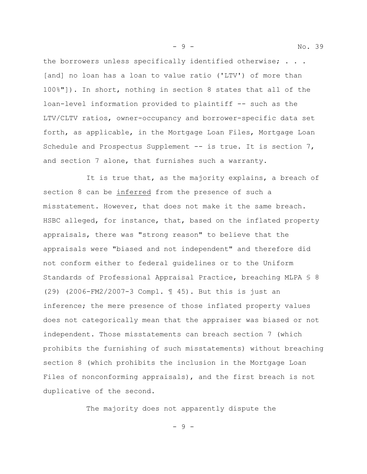the borrowers unless specifically identified otherwise; . . . [and] no loan has a loan to value ratio ('LTV') of more than 100%"]). In short, nothing in section 8 states that all of the loan-level information provided to plaintiff -- such as the LTV/CLTV ratios, owner-occupancy and borrower-specific data set

forth, as applicable, in the Mortgage Loan Files, Mortgage Loan Schedule and Prospectus Supplement -- is true. It is section 7, and section 7 alone, that furnishes such a warranty.

It is true that, as the majority explains, a breach of section 8 can be inferred from the presence of such a misstatement. However, that does not make it the same breach. HSBC alleged, for instance, that, based on the inflated property appraisals, there was "strong reason" to believe that the appraisals were "biased and not independent" and therefore did not conform either to federal guidelines or to the Uniform Standards of Professional Appraisal Practice, breaching MLPA § 8 (29) (2006-FM2/2007-3 Compl. ¶ 45). But this is just an inference; the mere presence of those inflated property values does not categorically mean that the appraiser was biased or not independent. Those misstatements can breach section 7 (which prohibits the furnishing of such misstatements) without breaching section 8 (which prohibits the inclusion in the Mortgage Loan Files of nonconforming appraisals), and the first breach is not duplicative of the second.

The majority does not apparently dispute the

- 9 -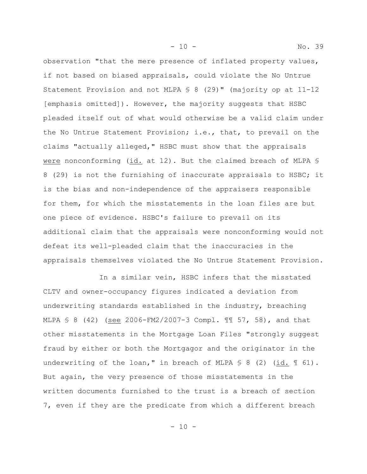observation "that the mere presence of inflated property values, if not based on biased appraisals, could violate the No Untrue Statement Provision and not MLPA § 8 (29)" (majority op at 11-12 [emphasis omitted]). However, the majority suggests that HSBC pleaded itself out of what would otherwise be a valid claim under the No Untrue Statement Provision; i.e., that, to prevail on the claims "actually alleged," HSBC must show that the appraisals were nonconforming (id. at 12). But the claimed breach of MLPA § 8 (29) is not the furnishing of inaccurate appraisals to HSBC; it is the bias and non-independence of the appraisers responsible for them, for which the misstatements in the loan files are but one piece of evidence. HSBC's failure to prevail on its additional claim that the appraisals were nonconforming would not defeat its well-pleaded claim that the inaccuracies in the

appraisals themselves violated the No Untrue Statement Provision.

 In a similar vein, HSBC infers that the misstated CLTV and owner-occupancy figures indicated a deviation from underwriting standards established in the industry, breaching MLPA § 8 (42) (see 2006-FM2/2007-3 Compl. ¶¶ 57, 58), and that other misstatements in the Mortgage Loan Files "strongly suggest fraud by either or both the Mortgagor and the originator in the underwriting of the loan," in breach of MLPA  $\lessgtr$  8 (2) (id.  $\lessgtr$  61). But again, the very presence of those misstatements in the written documents furnished to the trust is a breach of section 7, even if they are the predicate from which a different breach

- 10 - No. 39

- 10 -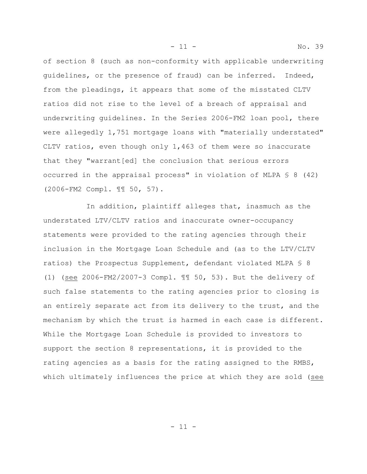of section 8 (such as non-conformity with applicable underwriting guidelines, or the presence of fraud) can be inferred. Indeed, from the pleadings, it appears that some of the misstated CLTV ratios did not rise to the level of a breach of appraisal and underwriting guidelines. In the Series 2006-FM2 loan pool, there were allegedly 1,751 mortgage loans with "materially understated" CLTV ratios, even though only 1,463 of them were so inaccurate that they "warrant[ed] the conclusion that serious errors occurred in the appraisal process" in violation of MLPA  $\S$  8 (42) (2006-FM2 Compl. ¶¶ 50, 57).

In addition, plaintiff alleges that, inasmuch as the understated LTV/CLTV ratios and inaccurate owner-occupancy statements were provided to the rating agencies through their inclusion in the Mortgage Loan Schedule and (as to the LTV/CLTV ratios) the Prospectus Supplement, defendant violated MLPA § 8 (1) (see 2006-FM2/2007-3 Compl. ¶¶ 50, 53). But the delivery of such false statements to the rating agencies prior to closing is an entirely separate act from its delivery to the trust, and the mechanism by which the trust is harmed in each case is different. While the Mortgage Loan Schedule is provided to investors to support the section 8 representations, it is provided to the rating agencies as a basis for the rating assigned to the RMBS, which ultimately influences the price at which they are sold (see

- 11 - No. 39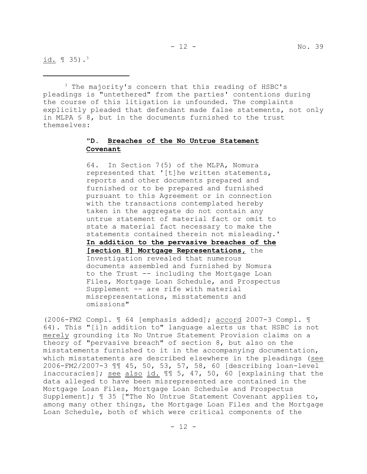$id. \text{ } \text{ } \text{ } 35) .$ <sup>3</sup>

<sup>3</sup> The majority's concern that this reading of HSBC's pleadings is "untethered" from the parties' contentions during the course of this litigation is unfounded. The complaints explicitly pleaded that defendant made false statements, not only in MLPA § 8, but in the documents furnished to the trust themselves:

## **"D. Breaches of the No Untrue Statement Covenant**

64. In Section 7(5) of the MLPA, Nomura represented that '[t]he written statements, reports and other documents prepared and furnished or to be prepared and furnished pursuant to this Agreement or in connection with the transactions contemplated hereby taken in the aggregate do not contain any untrue statement of material fact or omit to state a material fact necessary to make the statements contained therein not misleading.' **In addition to the pervasive breaches of the [section 8] Mortgage Representations,** the Investigation revealed that numerous documents assembled and furnished by Nomura to the Trust -- including the Mortgage Loan Files, Mortgage Loan Schedule, and Prospectus Supplement -- are rife with material misrepresentations, misstatements and omissions"

(2006-FM2 Compl. ¶ 64 [emphasis added]; accord 2007-3 Compl. ¶ 64). This "[i]n addition to" language alerts us that HSBC is not merely grounding its No Untrue Statement Provision claims on a theory of "pervasive breach" of section 8, but also on the misstatements furnished to it in the accompanying documentation, which misstatements are described elsewhere in the pleadings (see 2006-FM2/2007-3 ¶¶ 45, 50, 53, 57, 58, 60 [describing loan-level inaccuracies]; see also id. ¶¶ 5, 47, 50, 60 [explaining that the data alleged to have been misrepresented are contained in the Mortgage Loan Files, Mortgage Loan Schedule and Prospectus Supplement];  $\text{\textsterling}$  35 ["The No Untrue Statement Covenant applies to, among many other things, the Mortgage Loan Files and the Mortgage Loan Schedule, both of which were critical components of the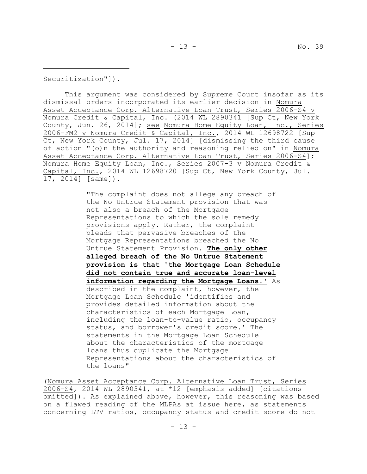Securitization"]).

This argument was considered by Supreme Court insofar as its dismissal orders incorporated its earlier decision in Nomura Asset Acceptance Corp. Alternative Loan Trust, Series 2006-S4 v Nomura Credit & Capital, Inc. (2014 WL 2890341 [Sup Ct, New York County, Jun. 26, 2014]; see Nomura Home Equity Loan, Inc., Series 2006-FM2 v Nomura Credit & Capital, Inc., 2014 WL 12698722 [Sup Ct, New York County, Jul. 17, 2014] [dismissing the third cause of action "(o)n the authority and reasoning relied on" in Nomura Asset Acceptance Corp. Alternative Loan Trust, Series 2006-S4]; Nomura Home Equity Loan, Inc., Series 2007-3 v Nomura Credit & Capital, Inc., 2014 WL 12698720 [Sup Ct, New York County, Jul. 17, 2014] [same]).

> "The complaint does not allege any breach of the No Untrue Statement provision that was not also a breach of the Mortgage Representations to which the sole remedy provisions apply. Rather, the complaint pleads that pervasive breaches of the Mortgage Representations breached the No Untrue Statement Provision. **The only other alleged breach of the No Untrue Statement provision is that 'the Mortgage Loan Schedule did not contain true and accurate loan-level information regarding the Mortgage Loans.'** As described in the complaint, however, the Mortgage Loan Schedule 'identifies and provides detailed information about the characteristics of each Mortgage Loan, including the loan-to-value ratio, occupancy status, and borrower's credit score.' The statements in the Mortgage Loan Schedule about the characteristics of the mortgage loans thus duplicate the Mortgage Representations about the characteristics of the loans"

(Nomura Asset Acceptance Corp. Alternative Loan Trust, Series 2006-S4, 2014 WL 2890341, at \*12 [emphasis added] [citations omitted]). As explained above, however, this reasoning was based on a flawed reading of the MLPAs at issue here, as statements concerning LTV ratios, occupancy status and credit score do not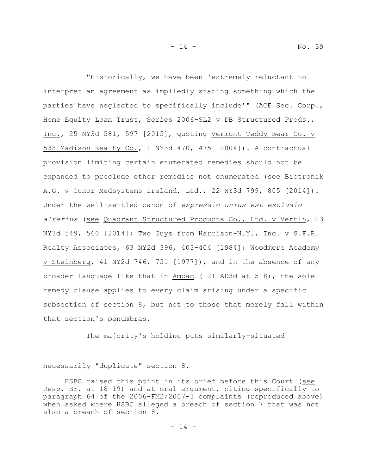"Historically, we have been 'extremely reluctant to interpret an agreement as impliedly stating something which the parties have neglected to specifically include'" (ACE Sec. Corp., Home Equity Loan Trust, Series 2006-SL2 v DB Structured Prods., Inc., 25 NY3d 581, 597 [2015], quoting Vermont Teddy Bear Co. v 538 Madison Realty Co., 1 NY3d 470, 475 [2004]). A contractual provision limiting certain enumerated remedies should not be expanded to preclude other remedies not enumerated (see Biotronik A.G. v Conor Medsystems Ireland, Ltd., 22 NY3d 799, 805 [2014]). Under the well-settled canon of *expressio unius est exclusio alterius* (see Quadrant Structured Products Co., Ltd. v Vertin, 23 NY3d 549, 560 [2014]; Two Guys from Harrison-N.Y., Inc. v S.F.R. Realty Associates, 63 NY2d 396, 403-404 [1984]; Woodmere Academy v Steinberg, 41 NY2d 746, 751 [1977]), and in the absence of any broader language like that in Ambac (121 AD3d at 518), the sole remedy clause applies to every claim arising under a specific subsection of section 8, but not to those that merely fall within that section's penumbras.

The majority's holding puts similarly-situated

necessarily "duplicate" section 8.

HSBC raised this point in its brief before this Court (see Resp. Br. at 18-19) and at oral argument, citing specifically to paragraph 64 of the 2006-FM2/2007-3 complaints (reproduced above) when asked where HSBC alleged a breach of section 7 that was not also a breach of section 8.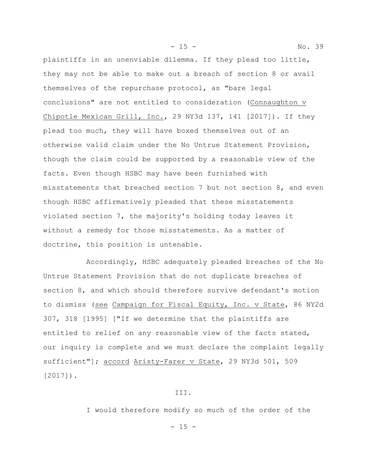plaintiffs in an unenviable dilemma. If they plead too little, they may not be able to make out a breach of section 8 or avail themselves of the repurchase protocol, as "bare legal conclusions" are not entitled to consideration (Connaughton v Chipotle Mexican Grill, Inc., 29 NY3d 137, 141 [2017]). If they plead too much, they will have boxed themselves out of an otherwise valid claim under the No Untrue Statement Provision, though the claim could be supported by a reasonable view of the facts. Even though HSBC may have been furnished with misstatements that breached section 7 but not section 8, and even though HSBC affirmatively pleaded that these misstatements violated section 7, the majority's holding today leaves it without a remedy for those misstatements. As a matter of doctrine, this position is untenable.

- 15 - No. 39

Accordingly, HSBC adequately pleaded breaches of the No Untrue Statement Provision that do not duplicate breaches of section 8, and which should therefore survive defendant's motion to dismiss (see Campaign for Fiscal Equity, Inc. v State, 86 NY2d 307, 318 [1995] ["If we determine that the plaintiffs are entitled to relief on any reasonable view of the facts stated, our inquiry is complete and we must declare the complaint legally sufficient"]; accord Aristy-Farer v State, 29 NY3d 501, 509 [2017]).

III.

I would therefore modify so much of the order of the

 $- 15 -$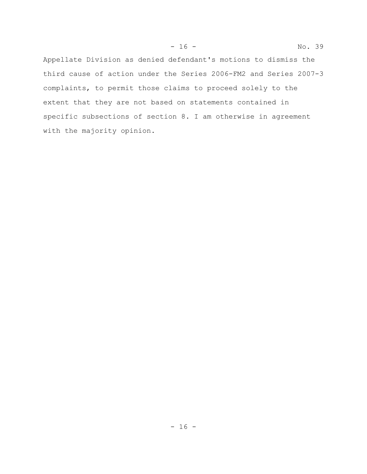Appellate Division as denied defendant's motions to dismiss the third cause of action under the Series 2006-FM2 and Series 2007-3 complaints, to permit those claims to proceed solely to the extent that they are not based on statements contained in specific subsections of section 8. I am otherwise in agreement with the majority opinion.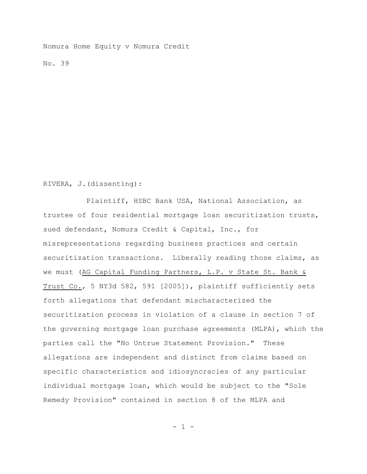Nomura Home Equity v Nomura Credit

No. 39

RIVERA, J.(dissenting):

Plaintiff, HSBC Bank USA, National Association, as trustee of four residential mortgage loan securitization trusts, sued defendant, Nomura Credit & Capital, Inc., for misrepresentations regarding business practices and certain securitization transactions. Liberally reading those claims, as we must (AG Capital Funding Partners, L.P. v State St. Bank & Trust Co., 5 NY3d 582, 591 [2005]), plaintiff sufficiently sets forth allegations that defendant mischaracterized the securitization process in violation of a clause in section 7 of the governing mortgage loan purchase agreements (MLPA), which the parties call the "No Untrue Statement Provision." These allegations are independent and distinct from claims based on specific characteristics and idiosyncracies of any particular individual mortgage loan, which would be subject to the "Sole Remedy Provision" contained in section 8 of the MLPA and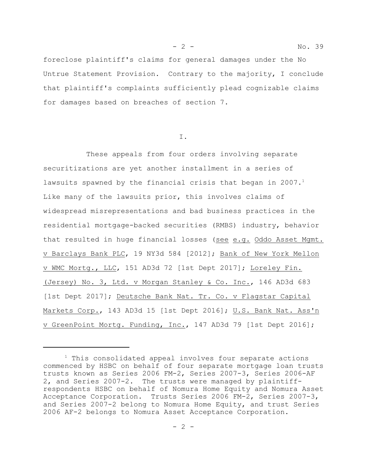foreclose plaintiff's claims for general damages under the No Untrue Statement Provision. Contrary to the majority, I conclude that plaintiff's complaints sufficiently plead cognizable claims for damages based on breaches of section 7.

I.

These appeals from four orders involving separate securitizations are yet another installment in a series of lawsuits spawned by the financial crisis that began in 2007. $<sup>1</sup>$ </sup> Like many of the lawsuits prior, this involves claims of widespread misrepresentations and bad business practices in the residential mortgage-backed securities (RMBS) industry, behavior that resulted in huge financial losses (see e.g. Oddo Asset Mgmt. v Barclays Bank PLC, 19 NY3d 584 [2012]; Bank of New York Mellon v WMC Mortg., LLC, 151 AD3d 72 [1st Dept 2017]; Loreley Fin. (Jersey) No. 3, Ltd. v Morgan Stanley & Co. Inc., 146 AD3d 683 [1st Dept 2017]; Deutsche Bank Nat. Tr. Co. v Flagstar Capital Markets Corp., 143 AD3d 15 [1st Dept 2016]; U.S. Bank Nat. Ass'n v GreenPoint Mortg. Funding, Inc., 147 AD3d 79 [1st Dept 2016];

<sup>&</sup>lt;sup>1</sup> This consolidated appeal involves four separate actions commenced by HSBC on behalf of four separate mortgage loan trusts trusts known as Series 2006 FM-2, Series 2007-3, Series 2006-AF 2, and Series 2007-2. The trusts were managed by plaintiffrespondents HSBC on behalf of Nomura Home Equity and Nomura Asset Acceptance Corporation. Trusts Series 2006 FM-2, Series 2007-3, and Series 2007-2 belong to Nomura Home Equity, and trust Series 2006 AF-2 belongs to Nomura Asset Acceptance Corporation.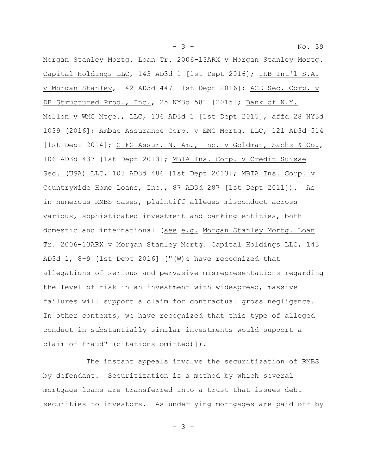Morgan Stanley Mortg. Loan Tr. 2006-13ARX v Morgan Stanley Mortg. Capital Holdings LLC, 143 AD3d 1 [1st Dept 2016]; IKB Int'l S.A. v Morgan Stanley, 142 AD3d 447 [1st Dept 2016]; ACE Sec. Corp. v DB Structured Prod., Inc., 25 NY3d 581 [2015]; Bank of N.Y. Mellon v WMC Mtge., LLC, 136 AD3d 1 [1st Dept 2015], affd 28 NY3d 1039 [2016]; Ambac Assurance Corp. v EMC Mortg. LLC, 121 AD3d 514 [1st Dept 2014]; CIFG Assur. N. Am., Inc. v Goldman, Sachs & Co., 106 AD3d 437 [1st Dept 2013]; MBIA Ins. Corp. v Credit Suisse Sec. (USA) LLC, 103 AD3d 486 [1st Dept 2013]; MBIA Ins. Corp. v Countrywide Home Loans, Inc., 87 AD3d 287 [1st Dept 2011]). As in numerous RMBS cases, plaintiff alleges misconduct across various, sophisticated investment and banking entities, both domestic and international (see e.g. Morgan Stanley Mortg. Loan Tr. 2006-13ARX v Morgan Stanley Mortg. Capital Holdings LLC, 143 AD3d 1, 8–9 [1st Dept 2016] ["(W)e have recognized that allegations of serious and pervasive misrepresentations regarding the level of risk in an investment with widespread, massive failures will support a claim for contractual gross negligence. In other contexts, we have recognized that this type of alleged conduct in substantially similar investments would support a claim of fraud" (citations omitted)]).

The instant appeals involve the securitization of RMBS by defendant. Securitization is a method by which several mortgage loans are transferred into a trust that issues debt securities to investors. As underlying mortgages are paid off by

- 3 -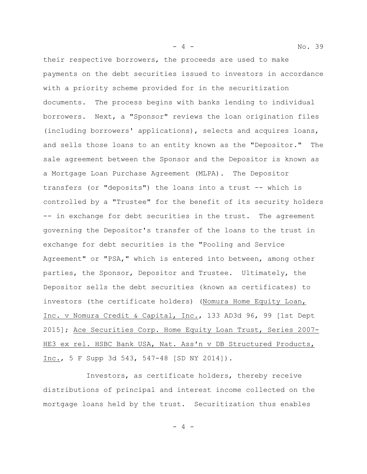their respective borrowers, the proceeds are used to make payments on the debt securities issued to investors in accordance with a priority scheme provided for in the securitization documents. The process begins with banks lending to individual borrowers. Next, a "Sponsor" reviews the loan origination files (including borrowers' applications), selects and acquires loans, and sells those loans to an entity known as the "Depositor." The sale agreement between the Sponsor and the Depositor is known as a Mortgage Loan Purchase Agreement (MLPA). The Depositor transfers (or "deposits") the loans into a trust -- which is controlled by a "Trustee" for the benefit of its security holders -- in exchange for debt securities in the trust. The agreement governing the Depositor's transfer of the loans to the trust in exchange for debt securities is the "Pooling and Service Agreement" or "PSA," which is entered into between, among other parties, the Sponsor, Depositor and Trustee. Ultimately, the Depositor sells the debt securities (known as certificates) to investors (the certificate holders) (Nomura Home Equity Loan, Inc. v Nomura Credit & Capital, Inc., 133 AD3d 96, 99 [1st Dept 2015]; Ace Securities Corp. Home Equity Loan Trust, Series 2007- HE3 ex rel. HSBC Bank USA, Nat. Ass'n v DB Structured Products, Inc., 5 F Supp 3d 543, 547-48 [SD NY 2014]).

Investors, as certificate holders, thereby receive distributions of principal and interest income collected on the mortgage loans held by the trust. Securitization thus enables

 $-4 -$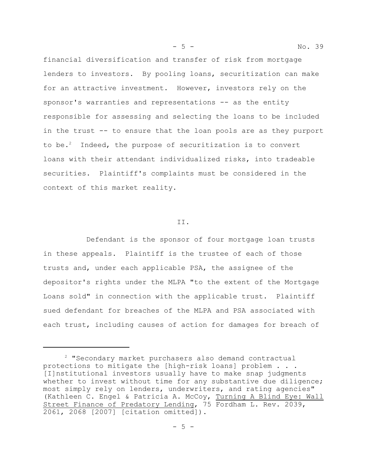financial diversification and transfer of risk from mortgage lenders to investors. By pooling loans, securitization can make for an attractive investment. However, investors rely on the sponsor's warranties and representations -- as the entity responsible for assessing and selecting the loans to be included in the trust -- to ensure that the loan pools are as they purport to be.<sup>2</sup> Indeed, the purpose of securitization is to convert loans with their attendant individualized risks, into tradeable securities. Plaintiff's complaints must be considered in the context of this market reality.

II.

Defendant is the sponsor of four mortgage loan trusts in these appeals. Plaintiff is the trustee of each of those trusts and, under each applicable PSA, the assignee of the depositor's rights under the MLPA "to the extent of the Mortgage Loans sold" in connection with the applicable trust. Plaintiff sued defendant for breaches of the MLPA and PSA associated with each trust, including causes of action for damages for breach of

<sup>&</sup>lt;sup>2</sup> "Secondary market purchasers also demand contractual protections to mitigate the [high-risk loans] problem . . . [I]nstitutional investors usually have to make snap judgments whether to invest without time for any substantive due diligence; most simply rely on lenders, underwriters, and rating agencies" (Kathleen C. Engel & Patricia A. McCoy, Turning A Blind Eye: Wall Street Finance of Predatory Lending, 75 Fordham L. Rev. 2039, 2061, 2068 [2007] [citation omitted]).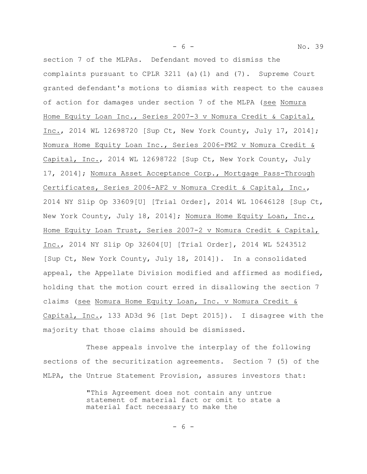section 7 of the MLPAs. Defendant moved to dismiss the complaints pursuant to CPLR 3211 (a)(1) and (7). Supreme Court granted defendant's motions to dismiss with respect to the causes of action for damages under section 7 of the MLPA (see Nomura Home Equity Loan Inc., Series 2007-3 v Nomura Credit & Capital, Inc., 2014 WL 12698720 [Sup Ct, New York County, July 17, 2014]; Nomura Home Equity Loan Inc., Series 2006-FM2 v Nomura Credit & Capital, Inc., 2014 WL 12698722 [Sup Ct, New York County, July 17, 2014]; Nomura Asset Acceptance Corp., Mortgage Pass-Through Certificates, Series 2006-AF2 v Nomura Credit & Capital, Inc., 2014 NY Slip Op 33609[U] [Trial Order], 2014 WL 10646128 [Sup Ct, New York County, July 18, 2014]; Nomura Home Equity Loan, Inc., Home Equity Loan Trust, Series 2007-2 v Nomura Credit & Capital, Inc., 2014 NY Slip Op 32604[U] [Trial Order], 2014 WL 5243512 [Sup Ct, New York County, July 18, 2014]). In a consolidated appeal, the Appellate Division modified and affirmed as modified, holding that the motion court erred in disallowing the section 7 claims (see Nomura Home Equity Loan, Inc. v Nomura Credit & Capital, Inc., 133 AD3d 96 [1st Dept 2015]). I disagree with the majority that those claims should be dismissed.

These appeals involve the interplay of the following sections of the securitization agreements. Section 7 (5) of the MLPA, the Untrue Statement Provision, assures investors that:

> "This Agreement does not contain any untrue statement of material fact or omit to state a material fact necessary to make the

- 6 -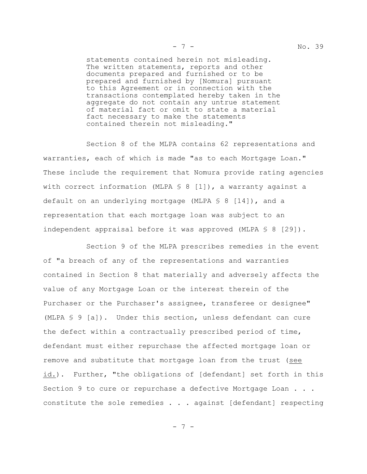statements contained herein not misleading. The written statements, reports and other documents prepared and furnished or to be prepared and furnished by [Nomura] pursuant to this Agreement or in connection with the transactions contemplated hereby taken in the aggregate do not contain any untrue statement of material fact or omit to state a material fact necessary to make the statements contained therein not misleading."

Section 8 of the MLPA contains 62 representations and warranties, each of which is made "as to each Mortgage Loan." These include the requirement that Nomura provide rating agencies with correct information (MLPA  $\leq 8$  [1]), a warranty against a default on an underlying mortgage (MLPA  $\lessgtr 8$  [14]), and a representation that each mortgage loan was subject to an independent appraisal before it was approved (MLPA  $\S$  8 [29]).

Section 9 of the MLPA prescribes remedies in the event of "a breach of any of the representations and warranties contained in Section 8 that materially and adversely affects the value of any Mortgage Loan or the interest therein of the Purchaser or the Purchaser's assignee, transferee or designee" (MLPA § 9 [a]). Under this section, unless defendant can cure the defect within a contractually prescribed period of time, defendant must either repurchase the affected mortgage loan or remove and substitute that mortgage loan from the trust (see id.). Further, "the obligations of [defendant] set forth in this Section 9 to cure or repurchase a defective Mortgage Loan . . . constitute the sole remedies . . . against [defendant] respecting

- 7 -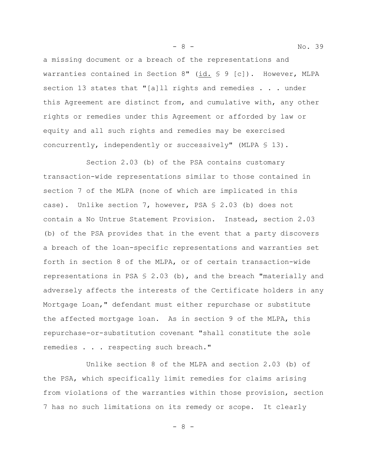a missing document or a breach of the representations and warranties contained in Section 8" (id. § 9 [c]). However, MLPA section 13 states that "[a]ll rights and remedies . . . under this Agreement are distinct from, and cumulative with, any other rights or remedies under this Agreement or afforded by law or equity and all such rights and remedies may be exercised concurrently, independently or successively" (MLPA § 13).

Section 2.03 (b) of the PSA contains customary transaction-wide representations similar to those contained in section 7 of the MLPA (none of which are implicated in this case). Unlike section 7, however, PSA § 2.03 (b) does not contain a No Untrue Statement Provision. Instead, section 2.03 (b) of the PSA provides that in the event that a party discovers a breach of the loan-specific representations and warranties set forth in section 8 of the MLPA, or of certain transaction-wide representations in PSA § 2.03 (b), and the breach "materially and adversely affects the interests of the Certificate holders in any Mortgage Loan," defendant must either repurchase or substitute the affected mortgage loan. As in section 9 of the MLPA, this repurchase-or-substitution covenant "shall constitute the sole remedies . . . respecting such breach."

Unlike section 8 of the MLPA and section 2.03 (b) of the PSA, which specifically limit remedies for claims arising from violations of the warranties within those provision, section 7 has no such limitations on its remedy or scope. It clearly

- 8 - No. 39

- 8 -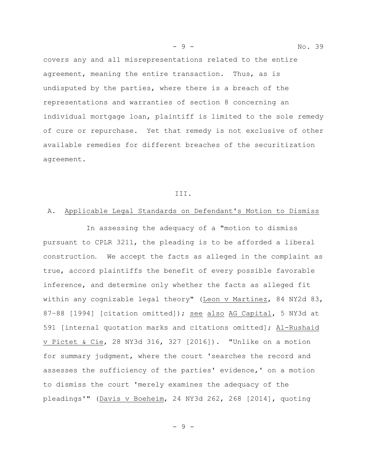covers any and all misrepresentations related to the entire agreement, meaning the entire transaction. Thus, as is undisputed by the parties, where there is a breach of the representations and warranties of section 8 concerning an individual mortgage loan, plaintiff is limited to the sole remedy of cure or repurchase. Yet that remedy is not exclusive of other available remedies for different breaches of the securitization agreement.

#### III.

### A. Applicable Legal Standards on Defendant's Motion to Dismiss

In assessing the adequacy of a "motion to dismiss pursuant to CPLR 3211, the pleading is to be afforded a liberal construction. We accept the facts as alleged in the complaint as true, accord plaintiffs the benefit of every possible favorable inference, and determine only whether the facts as alleged fit within any cognizable legal theory" (Leon v Martinez, 84 NY2d 83, 87–88 [1994] [citation omitted]); see also AG Capital, 5 NY3d at 591 [internal quotation marks and citations omitted]; Al-Rushaid v Pictet & Cie, 28 NY3d 316, 327 [2016]). "Unlike on a motion for summary judgment, where the court 'searches the record and assesses the sufficiency of the parties' evidence,' on a motion to dismiss the court 'merely examines the adequacy of the pleadings'" (Davis v Boeheim, 24 NY3d 262, 268 [2014], quoting

- 9 - No. 39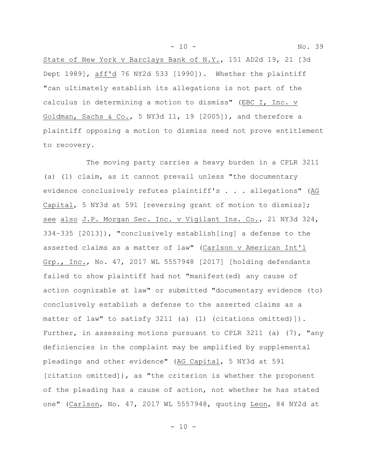- 10 - No. 39

State of New York v Barclays Bank of N.Y., 151 AD2d 19, 21 [3d Dept 1989], aff'd 76 NY2d 533 [1990]). Whether the plaintiff "can ultimately establish its allegations is not part of the calculus in determining a motion to dismiss" (EBC I, Inc. v Goldman, Sachs & Co., 5 NY3d 11, 19  $[2005]$ ), and therefore a plaintiff opposing a motion to dismiss need not prove entitlement to recovery.

The moving party carries a heavy burden in a CPLR 3211 (a) (1) claim, as it cannot prevail unless "the documentary evidence conclusively refutes plaintiff's . . . allegations" (AG Capital, 5 NY3d at 591 [reversing grant of motion to dismiss]; see also J.P. Morgan Sec. Inc. v Vigilant Ins. Co., 21 NY3d 324, 334–335 [2013]), "conclusively establish[ing] a defense to the asserted claims as a matter of law" (Carlson v American Int'l Grp., Inc., No. 47, 2017 WL 5557948 [2017] [holding defendants failed to show plaintiff had not "manifest(ed) any cause of action cognizable at law" or submitted "documentary evidence (to) conclusively establish a defense to the asserted claims as a matter of law" to satisfy 3211 (a) (1) (citations omitted)]). Further, in assessing motions pursuant to CPLR 3211 (a)  $(7)$ , "any deficiencies in the complaint may be amplified by supplemental pleadings and other evidence" (AG Capital, 5 NY3d at 591 [citation omitted]), as "the criterion is whether the proponent of the pleading has a cause of action, not whether he has stated one" (Carlson, No. 47, 2017 WL 5557948, quoting Leon, 84 NY2d at

 $- 10 -$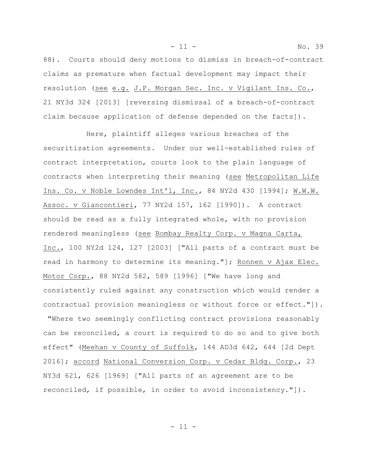88). Courts should deny motions to dismiss in breach-of-contract claims as premature when factual development may impact their resolution (see e.g. J.P. Morgan Sec. Inc. v Vigilant Ins. Co., 21 NY3d 324 [2013] [reversing dismissal of a breach-of-contract claim because application of defense depended on the facts]).

Here, plaintiff alleges various breaches of the securitization agreements. Under our well-established rules of contract interpretation, courts look to the plain language of contracts when interpreting their meaning (see Metropolitan Life Ins. Co. v Noble Lowndes Int'l, Inc., 84 NY2d 430 [1994]; W.W.W. Assoc. v Giancontieri, 77 NY2d 157, 162 [1990]). A contract should be read as a fully integrated whole, with no provision rendered meaningless (see Bombay Realty Corp. v Magna Carta, Inc., 100 NY2d 124, 127 [2003] ["All parts of a contract must be read in harmony to determine its meaning."]; Ronnen v Ajax Elec. Motor Corp., 88 NY2d 582, 589 [1996] ["We have long and consistently ruled against any construction which would render a contractual provision meaningless or without force or effect."]). "Where two seemingly conflicting contract provisions reasonably

can be reconciled, a court is required to do so and to give both effect" (Meehan v County of Suffolk, 144 AD3d 642, 644 [2d Dept 2016]; accord National Conversion Corp. v Cedar Bldg. Corp., 23 NY3d 621, 626 [1969] ["All parts of an agreement are to be reconciled, if possible, in order to avoid inconsistency."]).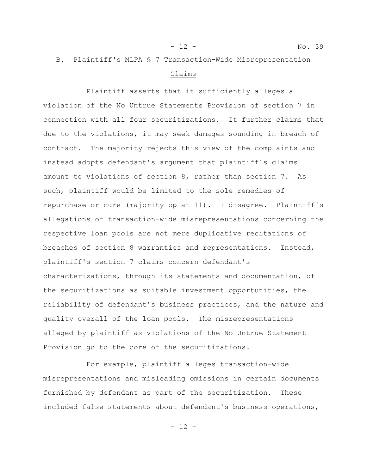- 12 - No. 39

# B. Plaintiff's MLPA § 7 Transaction-Wide Misrepresentation Claims

Plaintiff asserts that it sufficiently alleges a violation of the No Untrue Statements Provision of section 7 in connection with all four securitizations. It further claims that due to the violations, it may seek damages sounding in breach of contract. The majority rejects this view of the complaints and instead adopts defendant's argument that plaintiff's claims amount to violations of section 8, rather than section 7. As such, plaintiff would be limited to the sole remedies of repurchase or cure (majority op at 11). I disagree. Plaintiff's allegations of transaction-wide misrepresentations concerning the respective loan pools are not mere duplicative recitations of breaches of section 8 warranties and representations. Instead, plaintiff's section 7 claims concern defendant's characterizations, through its statements and documentation, of the securitizations as suitable investment opportunities, the reliability of defendant's business practices, and the nature and quality overall of the loan pools. The misrepresentations alleged by plaintiff as violations of the No Untrue Statement Provision go to the core of the securitizations.

For example, plaintiff alleges transaction-wide misrepresentations and misleading omissions in certain documents furnished by defendant as part of the securitization. These included false statements about defendant's business operations,

 $- 12 -$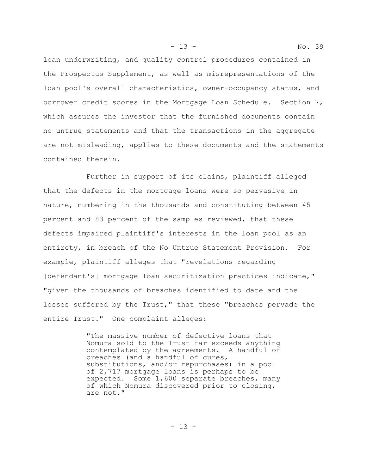- 13 - No. 39

loan underwriting, and quality control procedures contained in the Prospectus Supplement, as well as misrepresentations of the loan pool's overall characteristics, owner-occupancy status, and borrower credit scores in the Mortgage Loan Schedule. Section 7, which assures the investor that the furnished documents contain no untrue statements and that the transactions in the aggregate are not misleading, applies to these documents and the statements contained therein.

Further in support of its claims, plaintiff alleged that the defects in the mortgage loans were so pervasive in nature, numbering in the thousands and constituting between 45 percent and 83 percent of the samples reviewed, that these defects impaired plaintiff's interests in the loan pool as an entirety, in breach of the No Untrue Statement Provision. For example, plaintiff alleges that "revelations regarding [defendant's] mortgage loan securitization practices indicate," "given the thousands of breaches identified to date and the losses suffered by the Trust," that these "breaches pervade the entire Trust." One complaint alleges:

> "The massive number of defective loans that Nomura sold to the Trust far exceeds anything contemplated by the agreements. A handful of breaches (and a handful of cures, substitutions, and/or repurchases) in a pool of 2,717 mortgage loans is perhaps to be expected. Some 1,600 separate breaches, many of which Nomura discovered prior to closing, are not."

> > $- 13 -$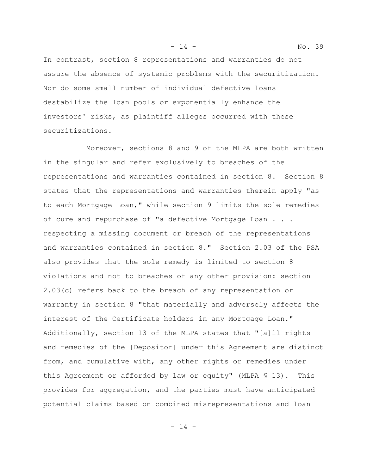In contrast, section 8 representations and warranties do not assure the absence of systemic problems with the securitization. Nor do some small number of individual defective loans destabilize the loan pools or exponentially enhance the investors' risks, as plaintiff alleges occurred with these securitizations.

Moreover, sections 8 and 9 of the MLPA are both written in the singular and refer exclusively to breaches of the representations and warranties contained in section 8. Section 8 states that the representations and warranties therein apply "as to each Mortgage Loan," while section 9 limits the sole remedies of cure and repurchase of "a defective Mortgage Loan . . . respecting a missing document or breach of the representations and warranties contained in section 8." Section 2.03 of the PSA also provides that the sole remedy is limited to section 8 violations and not to breaches of any other provision: section 2.03(c) refers back to the breach of any representation or warranty in section 8 "that materially and adversely affects the interest of the Certificate holders in any Mortgage Loan." Additionally, section 13 of the MLPA states that "[a]ll rights and remedies of the [Depositor] under this Agreement are distinct from, and cumulative with, any other rights or remedies under this Agreement or afforded by law or equity" (MLPA § 13). This provides for aggregation, and the parties must have anticipated potential claims based on combined misrepresentations and loan

- 14 - No. 39

- 14 -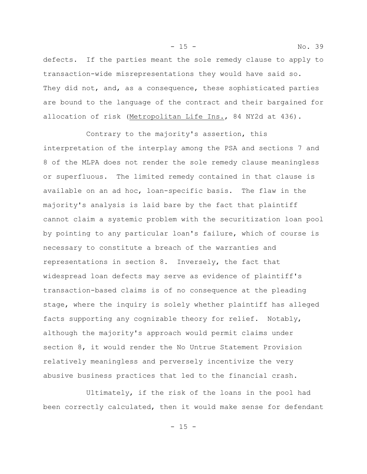defects. If the parties meant the sole remedy clause to apply to transaction-wide misrepresentations they would have said so. They did not, and, as a consequence, these sophisticated parties are bound to the language of the contract and their bargained for allocation of risk (Metropolitan Life Ins., 84 NY2d at 436).

- 15 - No. 39

Contrary to the majority's assertion, this interpretation of the interplay among the PSA and sections 7 and 8 of the MLPA does not render the sole remedy clause meaningless or superfluous. The limited remedy contained in that clause is available on an ad hoc, loan-specific basis. The flaw in the majority's analysis is laid bare by the fact that plaintiff cannot claim a systemic problem with the securitization loan pool by pointing to any particular loan's failure, which of course is necessary to constitute a breach of the warranties and representations in section 8. Inversely, the fact that widespread loan defects may serve as evidence of plaintiff's transaction-based claims is of no consequence at the pleading stage, where the inquiry is solely whether plaintiff has alleged facts supporting any cognizable theory for relief. Notably, although the majority's approach would permit claims under section 8, it would render the No Untrue Statement Provision relatively meaningless and perversely incentivize the very abusive business practices that led to the financial crash.

Ultimately, if the risk of the loans in the pool had been correctly calculated, then it would make sense for defendant

- 15 -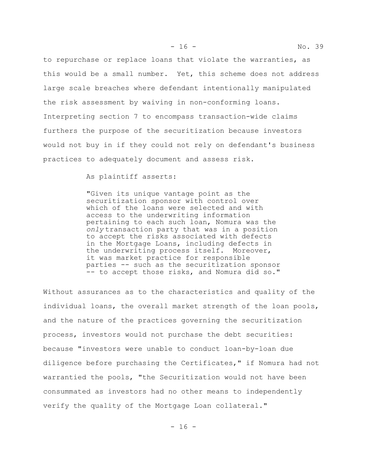to repurchase or replace loans that violate the warranties, as this would be a small number. Yet, this scheme does not address large scale breaches where defendant intentionally manipulated the risk assessment by waiving in non-conforming loans. Interpreting section 7 to encompass transaction-wide claims furthers the purpose of the securitization because investors would not buy in if they could not rely on defendant's business practices to adequately document and assess risk.

As plaintiff asserts:

"Given its unique vantage point as the securitization sponsor with control over which of the loans were selected and with access to the underwriting information pertaining to each such loan, Nomura was the *only* transaction party that was in a position to accept the risks associated with defects in the Mortgage Loans, including defects in the underwriting process itself. Moreover, it was market practice for responsible parties -- such as the securitization sponsor -- to accept those risks, and Nomura did so."

Without assurances as to the characteristics and quality of the individual loans, the overall market strength of the loan pools, and the nature of the practices governing the securitization process, investors would not purchase the debt securities: because "investors were unable to conduct loan-by-loan due diligence before purchasing the Certificates," if Nomura had not warrantied the pools, "the Securitization would not have been consummated as investors had no other means to independently verify the quality of the Mortgage Loan collateral."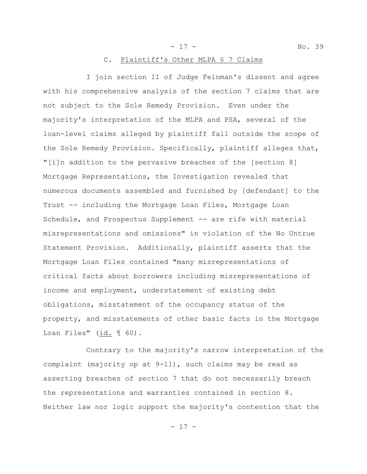#### C. Plaintiff's Other MLPA § 7 Claims

I join section II of Judge Feinman's dissent and agree with his comprehensive analysis of the section 7 claims that are not subject to the Sole Remedy Provision. Even under the majority's interpretation of the MLPA and PSA, several of the loan-level claims alleged by plaintiff fall outside the scope of the Sole Remedy Provision. Specifically, plaintiff alleges that, "[i]n addition to the pervasive breaches of the [section 8] Mortgage Representations, the Investigation revealed that numerous documents assembled and furnished by [defendant] to the Trust -- including the Mortgage Loan Files, Mortgage Loan Schedule, and Prospectus Supplement -- are rife with material misrepresentations and omissions" in violation of the No Untrue Statement Provision. Additionally, plaintiff asserts that the Mortgage Loan Files contained "many misrepresentations of critical facts about borrowers including misrepresentations of income and employment, understatement of existing debt obligations, misstatement of the occupancy status of the property, and misstatements of other basic facts in the Mortgage Loan Files" (id. 1 60).

Contrary to the majority's narrow interpretation of the complaint (majority op at 9-11), such claims may be read as asserting breaches of section 7 that do not necessarily breach the representations and warranties contained in section 8. Neither law nor logic support the majority's contention that the

- 17 - No. 39

 $- 17 -$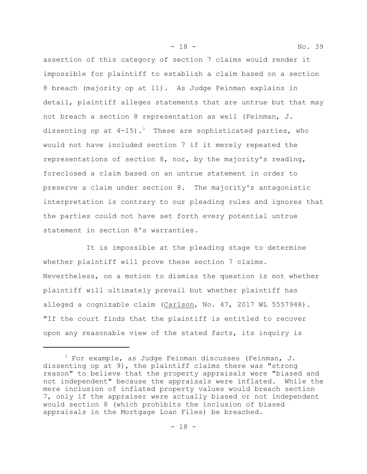assertion of this category of section 7 claims would render it impossible for plaintiff to establish a claim based on a section 8 breach (majority op at 11). As Judge Feinman explains in detail, plaintiff alleges statements that are untrue but that may not breach a section 8 representation as well (Feinman, J. dissenting op at  $4-15$ ).<sup>3</sup> These are sophisticated parties, who would not have included section 7 if it merely repeated the representations of section 8, nor, by the majority's reading, foreclosed a claim based on an untrue statement in order to preserve a claim under section 8. The majority's antagonistic interpretation is contrary to our pleading rules and ignores that the parties could not have set forth every potential untrue statement in section 8's warranties.

It is impossible at the pleading stage to determine whether plaintiff will prove these section 7 claims. Nevertheless, on a motion to dismiss the question is not whether plaintiff will ultimately prevail but whether plaintiff has alleged a cognizable claim (Carlson, No. 47, 2017 WL 5557948). "If the court finds that the plaintiff is entitled to recover upon any reasonable view of the stated facts, its inquiry is

- 18 - No. 39

 $3$  For example, as Judge Feinman discusses (Feinman, J. dissenting op at 9), the plaintiff claims there was "strong reason" to believe that the property appraisals were "biased and not independent" because the appraisals were inflated. While the mere inclusion of inflated property values would breach section 7, only if the appraiser were actually biased or not independent would section 8 (which prohibits the inclusion of biased appraisals in the Mortgage Loan Files) be breached.